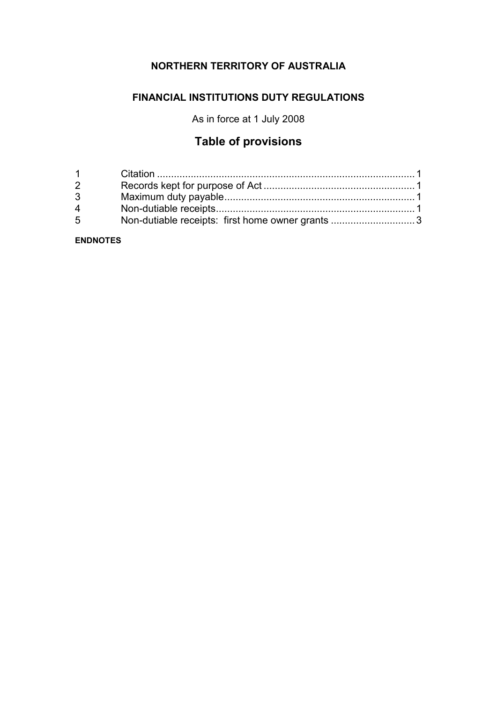## **NORTHERN TERRITORY OF AUSTRALIA**

## **FINANCIAL INSTITUTIONS DUTY REGULATIONS**

As in force at 1 July 2008

# **Table of provisions**

| $1 \quad \Box$ |                                                  |  |
|----------------|--------------------------------------------------|--|
| $2 \quad$      |                                                  |  |
| $3^{\circ}$    |                                                  |  |
| $\overline{4}$ |                                                  |  |
| 5 <sup>5</sup> | Non-dutiable receipts: first home owner grants 3 |  |

**ENDNOTES**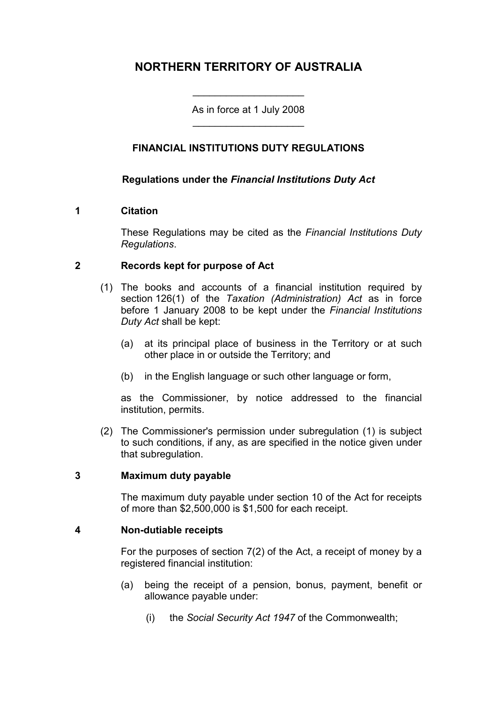## **NORTHERN TERRITORY OF AUSTRALIA**

As in force at 1 July 2008 \_\_\_\_\_\_\_\_\_\_\_\_\_\_\_\_\_\_\_\_

\_\_\_\_\_\_\_\_\_\_\_\_\_\_\_\_\_\_\_\_

### **FINANCIAL INSTITUTIONS DUTY REGULATIONS**

#### **Regulations under the** *Financial Institutions Duty Act*

#### **1 Citation**

These Regulations may be cited as the *Financial Institutions Duty Regulations*.

#### **2 Records kept for purpose of Act**

- (1) The books and accounts of a financial institution required by section 126(1) of the *Taxation (Administration) Act* as in force before 1 January 2008 to be kept under the *Financial Institutions Duty Act* shall be kept:
	- (a) at its principal place of business in the Territory or at such other place in or outside the Territory; and
	- (b) in the English language or such other language or form,

as the Commissioner, by notice addressed to the financial institution, permits.

(2) The Commissioner's permission under subregulation (1) is subject to such conditions, if any, as are specified in the notice given under that subregulation.

#### **3 Maximum duty payable**

The maximum duty payable under section 10 of the Act for receipts of more than \$2,500,000 is \$1,500 for each receipt.

#### **4 Non-dutiable receipts**

For the purposes of section 7(2) of the Act, a receipt of money by a registered financial institution:

- (a) being the receipt of a pension, bonus, payment, benefit or allowance payable under:
	- (i) the *Social Security Act 1947* of the Commonwealth;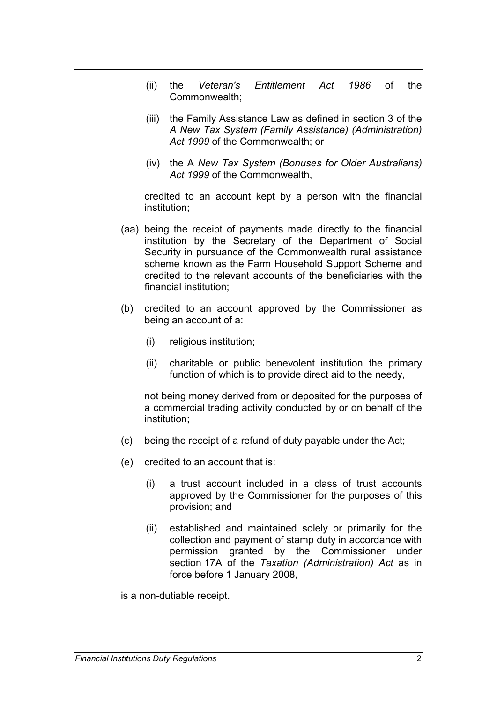- (ii) the *Veteran's Entitlement Act 1986* of the Commonwealth;
- (iii) the Family Assistance Law as defined in section 3 of the *A New Tax System (Family Assistance) (Administration) Act 1999* of the Commonwealth; or
- (iv) the A *New Tax System (Bonuses for Older Australians) Act 1999* of the Commonwealth,

credited to an account kept by a person with the financial institution;

- (aa) being the receipt of payments made directly to the financial institution by the Secretary of the Department of Social Security in pursuance of the Commonwealth rural assistance scheme known as the Farm Household Support Scheme and credited to the relevant accounts of the beneficiaries with the financial institution;
- (b) credited to an account approved by the Commissioner as being an account of a:
	- (i) religious institution;
	- (ii) charitable or public benevolent institution the primary function of which is to provide direct aid to the needy,

not being money derived from or deposited for the purposes of a commercial trading activity conducted by or on behalf of the institution;

- (c) being the receipt of a refund of duty payable under the Act;
- (e) credited to an account that is:
	- (i) a trust account included in a class of trust accounts approved by the Commissioner for the purposes of this provision; and
	- (ii) established and maintained solely or primarily for the collection and payment of stamp duty in accordance with permission granted by the Commissioner under section 17A of the *Taxation (Administration) Act* as in force before 1 January 2008,

is a non-dutiable receipt.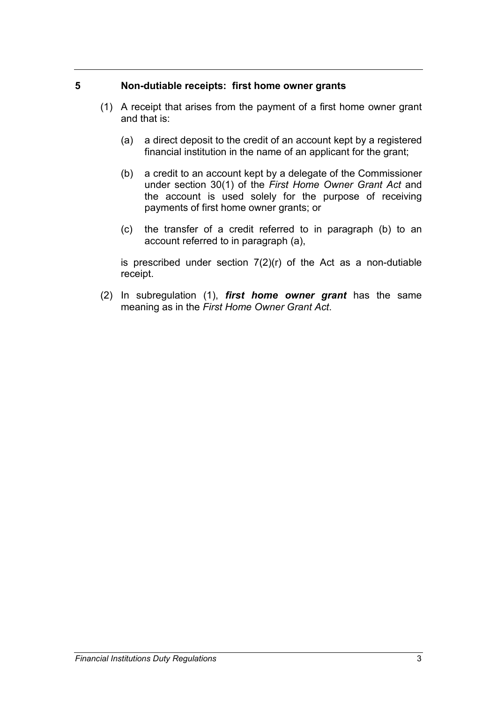#### **5 Non-dutiable receipts: first home owner grants**

- (1) A receipt that arises from the payment of a first home owner grant and that is:
	- (a) a direct deposit to the credit of an account kept by a registered financial institution in the name of an applicant for the grant;
	- (b) a credit to an account kept by a delegate of the Commissioner under section 30(1) of the *First Home Owner Grant Act* and the account is used solely for the purpose of receiving payments of first home owner grants; or
	- (c) the transfer of a credit referred to in paragraph (b) to an account referred to in paragraph (a),

is prescribed under section  $7(2)(r)$  of the Act as a non-dutiable receipt.

(2) In subregulation (1), *first home owner grant* has the same meaning as in the *First Home Owner Grant Act*.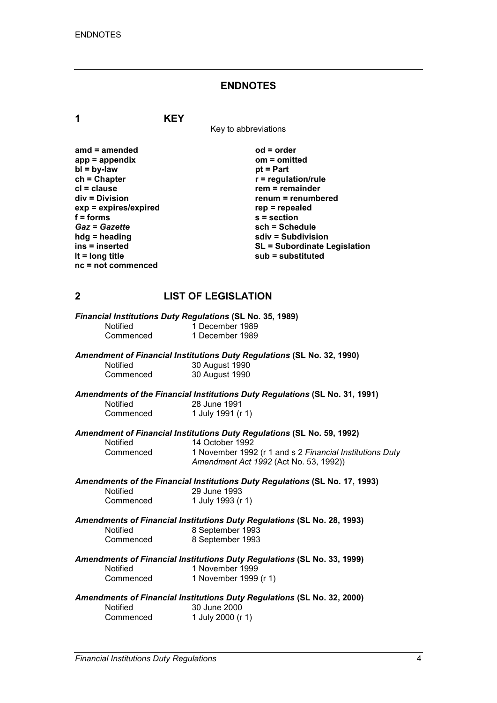## **ENDNOTES**

**1 KEY**

Key to abbreviations

| $amd = amended$       | $od = order$                        |
|-----------------------|-------------------------------------|
| $app = appendix$      | om = omitted                        |
| $bl = by-law$         | $pt = Part$                         |
| $ch = Chapter$        | $r =$ regulation/rule               |
| $cl = clause$         | $rem = remainder$                   |
| $div = Division$      | renum = renumbered                  |
| exp = expires/expired | $rep = repeated$                    |
| $f = forms$           | $s =$ section                       |
| <b>Gaz = Gazette</b>  | sch = Schedule                      |
| $h dg =$ heading      | sdiv = Subdivision                  |
| ins = inserted        | <b>SL = Subordinate Legislation</b> |
| It = $long$ title     | sub = substituted                   |
| $nc = not$ commenced  |                                     |

### **2 LIST OF LEGISLATION**

|                 | Financial Institutions Duty Regulations (SL No. 35, 1989)                                          |
|-----------------|----------------------------------------------------------------------------------------------------|
| <b>Notified</b> | 1 December 1989                                                                                    |
| Commenced       | 1 December 1989                                                                                    |
|                 | <b>Amendment of Financial Institutions Duty Regulations (SL No. 32, 1990)</b>                      |
| <b>Notified</b> | 30 August 1990                                                                                     |
| Commenced       | 30 August 1990                                                                                     |
|                 | Amendments of the Financial Institutions Duty Regulations (SL No. 31, 1991)                        |
| <b>Notified</b> | 28 June 1991                                                                                       |
| Commenced       | 1 July 1991 (r 1)                                                                                  |
|                 | Amendment of Financial Institutions Duty Regulations (SL No. 59, 1992)                             |
| <b>Notified</b> | 14 October 1992                                                                                    |
| Commenced       | 1 November 1992 (r 1 and s 2 Financial Institutions Duty<br>Amendment Act 1992 (Act No. 53, 1992)) |
|                 | Amendments of the Financial Institutions Duty Regulations (SL No. 17, 1993)                        |
| <b>Notified</b> | 29 June 1993                                                                                       |
| Commenced       | 1 July 1993 (r 1)                                                                                  |
|                 | Amendments of Financial Institutions Duty Regulations (SL No. 28, 1993)                            |
| <b>Notified</b> | 8 September 1993                                                                                   |
| Commenced       | 8 September 1993                                                                                   |
|                 | Amendments of Financial Institutions Duty Regulations (SL No. 33, 1999)                            |
| Notified        | 1 November 1999                                                                                    |
| Commenced       | 1 November 1999 (r 1)                                                                              |
|                 | <b>Amendments of Financial Institutions Duty Regulations (SL No. 32, 2000)</b>                     |
| <b>Notified</b> | 30 June 2000                                                                                       |
| Commenced       | 1 July 2000 (r 1)                                                                                  |
|                 |                                                                                                    |